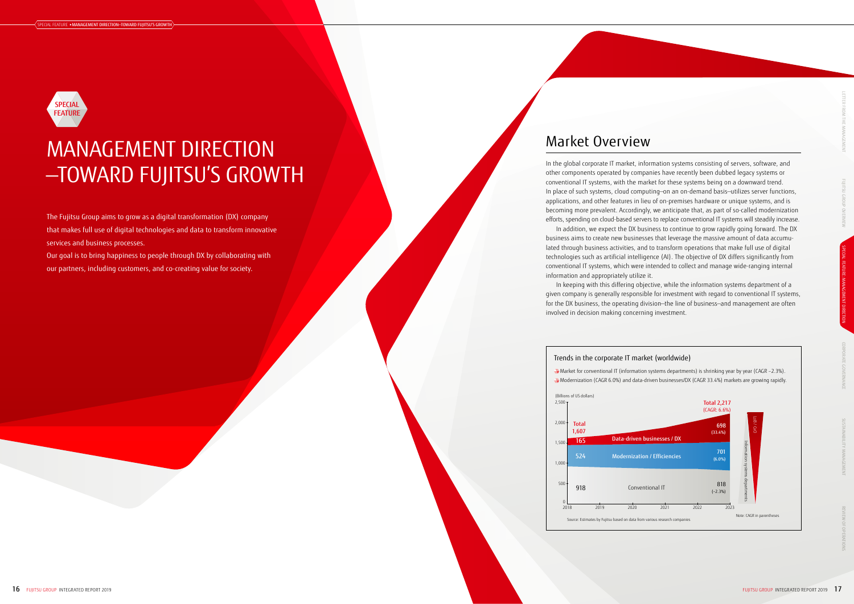The Fujitsu Group aims to grow as a digital transformation (DX) company that makes full use of digital technologies and data to transform innovative services and business processes.

Our goal is to bring happiness to people through DX by collaborating with our partners, including customers, and co-creating value for society.

# Market Overview

In the global corporate IT market, information systems consisting of servers, software, and other components operated by companies have recently been dubbed legacy systems or conventional IT systems, with the market for these systems being on a downward trend. In place of such systems, cloud computing—on an on-demand basis—utilizes server functions, applications, and other features in lieu of on-premises hardware or unique systems, and is becoming more prevalent. Accordingly, we anticipate that, as part of so-called modernization efforts, spending on cloud-based servers to replace conventional IT systems will steadily increase. In addition, we expect the DX business to continue to grow rapidly going forward. The DX business aims to create new businesses that leverage the massive amount of data accumulated through business activities, and to transform operations that make full use of digital technologies such as artificial intelligence (AI). The objective of DX differs significantly from conventional IT systems, which were intended to collect and manage wide-ranging internal information and appropriately utilize it.

## Conventional IT Modernization / Efficiencies Data-driven businesses / DX Trends in the corporate IT market (worldwide) (Billions of US dollars)  $2,500 2,000 1,500 \cdot$ 1,000 500  $\mathbf 0$ 2018 918 Total 1,607 524 165 2019 2020 2021 2022 2023 Source: Estimates by Fujitsu based on data from various research companie

In keeping with this differing objective, while the information systems department of a given company is generally responsible for investment with regard to conventional IT systems, for the DX business, the operating division—the line of business—and management are often involved in decision making concerning investment.

# MANAGEMENT DIRECTION —TOWARD FUJITSU'S GROWTH



Market for conventional IT (information systems departments) is shrinking year by year (CAGR –2.3%). Modernization (CAGR 6.0%) and data-driven businesses/DX (CAGR 33.4%) markets are growing rapidly.

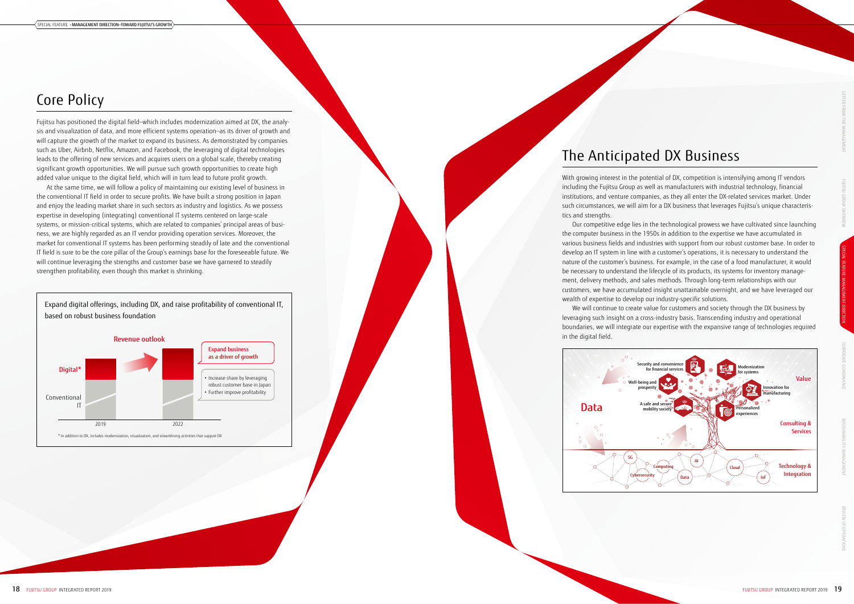# Core Policy

Fujitsu has positioned the digital field—which includes modernization aimed at DX, the analysis and visualization of data, and more efficient systems operation—as its driver of growth and will capture the growth of the market to expand its business. As demonstrated by companies such as Uber, Airbnb, Netflix, Amazon, and Facebook, the leveraging of digital technologies leads to the offering of new services and acquires users on a global scale, thereby creating significant growth opportunities. We will pursue such growth opportunities to create high added value unique to the digital field, which will in turn lead to future profit growth.

At the same time, we will follow a policy of maintaining our existing level of business in the conventional IT field in order to secure profits. We have built a strong position in Japan and enjoy the leading market share in such sectors as industry and logistics. As we possess expertise in developing (integrating) conventional IT systems centered on large-scale systems, or mission-critical systems, which are related to companies' principal areas of business, we are highly regarded as an IT vendor providing operation services. Moreover, the market for conventional IT systems has been performing steadily of late and the conventional IT field is sure to be the core pillar of the Group's earnings base for the foreseeable future. We will continue leveraging the strengths and customer base we have garnered to steadily strengthen profitability, even though this market is shrinking.



Expand digital offerings, including DX, and raise profitability of conventional IT, based on robust business foundation

# The Anticipated DX Business

With growing interest in the potential of DX, competition is intensifying among IT vendors including the Fujitsu Group as well as manufacturers with industrial technology, financial institutions, and venture companies, as they all enter the DX-related services market. Under such circumstances, we will aim for a DX business that leverages Fujitsu's unique characteristics and strengths.

Our competitive edge lies in the technological prowess we have cultivated since launching the computer business in the 1950s in addition to the expertise we have accumulated in various business fields and industries with support from our robust customer base. In order to develop an IT system in line with a customer's operations, it is necessary to understand the nature of the customer's business. For example, in the case of a food manufacturer, it would be necessary to understand the lifecycle of its products, its systems for inventory management, delivery methods, and sales methods. Through long-term relationships with our customers, we have accumulated insight unattainable overnight, and we have leveraged our wealth of expertise to develop our industry-specific solutions.

We will continue to create value for customers and society through the DX business by leveraging such insight on a cross-industry basis. Transcending industry and operational boundaries, we will integrate our expertise with the expansive range of technologies required

in the digital field.

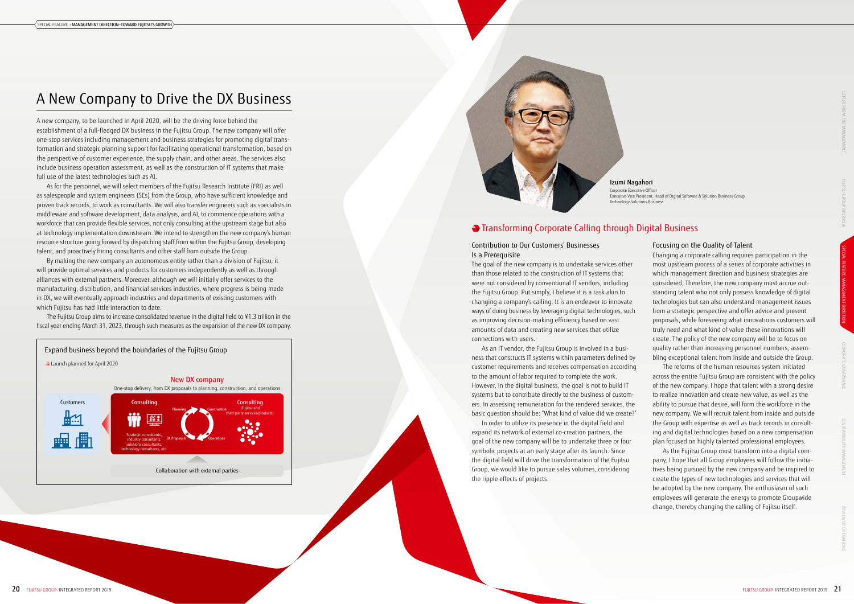## Contribution to Our Customers' Businesses Is a Prerequisite

The goal of the new company is to undertake services other than those related to the construction of IT systems that were not considered by conventional IT vendors, including the Fujitsu Group. Put simply, I believe it is a task akin to changing a company's calling. It is an endeavor to innovate ways of doing business by leveraging digital technologies, such as improving decision-making efficiency based on vast amounts of data and creating new services that utilize connections with users.

As an IT vendor, the Fujitsu Group is involved in a business that constructs IT systems within parameters defined by customer requirements and receives compensation according to the amount of labor required to complete the work. However, in the digital business, the goal is not to build IT systems but to contribute directly to the business of customers. In assessing remuneration for the rendered services, the basic question should be: "What kind of value did we create?"

In order to utilize its presence in the digital field and expand its network of external co-creation partners, the goal of the new company will be to undertake three or four symbolic projects at an early stage after its launch. Since the digital field will drive the transformation of the Fujitsu Group, we would like to pursue sales volumes, considering the ripple effects of projects.

## Focusing on the Quality of Talent

Changing a corporate calling requires participation in the most upstream process of a series of corporate activities in which management direction and business strategies are considered. Therefore, the new company must accrue outstanding talent who not only possess knowledge of digital technologies but can also understand management issues from a strategic perspective and offer advice and present proposals, while foreseeing what innovations customers will truly need and what kind of value these innovations will create. The policy of the new company will be to focus on quality rather than increasing personnel numbers, assembling exceptional talent from inside and outside the Group.

The reforms of the human resources system initiated across the entire Fujitsu Group are consistent with the policy of the new company. I hope that talent with a strong desire to realize innovation and create new value, as well as the ability to pursue that desire, will form the workforce in the new company. We will recruit talent from inside and outside the Group with expertise as well as track records in consulting and digital technologies based on a new compensation plan focused on highly talented professional employees.

As the Fujitsu Group must transform into a digital company, I hope that all Group employees will follow the initiatives being pursued by the new company and be inspired to create the types of new technologies and services that will be adopted by the new company. The enthusiasm of such employees will generate the energy to promote Groupwide change, thereby changing the calling of Fujitsu itself.

# Transforming Corporate Calling through Digital Business

# A New Company to Drive the DX Business

A new company, to be launched in April 2020, will be the driving force behind the establishment of a full-fledged DX business in the Fujitsu Group. The new company will offer one-stop services including management and business strategies for promoting digital transformation and strategic planning support for facilitating operational transformation, based on the perspective of customer experience, the supply chain, and other areas. The services also include business operation assessment, as well as the construction of IT systems that make full use of the latest technologies such as AI.

As for the personnel, we will select members of the Fujitsu Research Institute (FRI) as well as salespeople and system engineers (SEs) from the Group, who have sufficient knowledge and proven track records, to work as consultants. We will also transfer engineers such as specialists in middleware and software development, data analysis, and AI, to commence operations with a workforce that can provide flexible services, not only consulting at the upstream stage but also at technology implementation downstream. We intend to strengthen the new company's human resource structure going forward by dispatching staff from within the Fujitsu Group, developing talent, and proactively hiring consultants and other staff from outside the Group.

By making the new company an autonomous entity rather than a division of Fujitsu, it will provide optimal services and products for customers independently as well as through alliances with external partners. Moreover, although we will initially offer services to the manufacturing, distribution, and financial services industries, where progress is being made in DX, we will eventually approach industries and departments of existing customers with which Fujitsu has had little interaction to date.

The Fujitsu Group aims to increase consolidated revenue in the digital field to ¥1.3 trillion in the fiscal year ending March 31, 2023, through such measures as the expansion of the new DX company.

Izumi Nagahori Corporate Executive Officer Executive Vice President, Head of Digital Software & Solution Business Group Technology Solutions Business



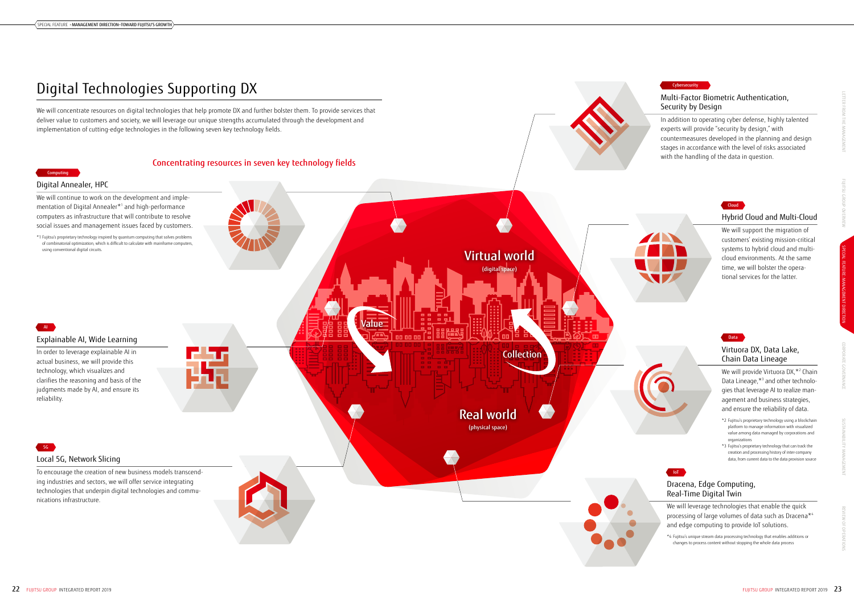# Digital Technologies Supporting DX

We will concentrate resources on digital technologies that help promote DX and further bolster them. To provide services that deliver value to customers and society, we will leverage our unique strengths accumulated through the development and implementation of cutting-edge technologies in the following seven key technology fields.

> We will provide Virtuora DX,<sup>\*2</sup> Chain Data Lineage,\*3 and other technologies that leverage AI to realize management and business strategies, and ensure the reliability of data.

## Multi-Factor Biometric Authentication, Security by Design

In addition to operating cyber defense, highly talented experts will provide "security by design," with countermeasures developed in the planning and design stages in accordance with the level of risks associated with the handling of the data in question.

We will leverage technologies that enable the quick processing of large volumes of data such as Dracena\*4 and edge computing to provide IoT solutions.

# Hybrid Cloud and Multi-Cloud

We will support the migration of customers' existing mission-critical systems to hybrid cloud and multicloud environments. At the same time, we will bolster the operational services for the latter.

# Virtuora DX, Data Lake, Chain Data Lineage



## $22$  FUJITSU GROUP INTEGRATED REPORT 2019  $23$

- \*2 Fujitsu's proprietary technology using a blockchain platform to manage information with visualized value among data managed by corporations and organizations
- \*3 Fujitsu's proprietary technology that can track the creation and processing history of inter-company data, from current data to the data provision source

# Dracena, Edge Computing, Real-Time Digital Twin

\*4 Fujitsu's unique stream data processing technology that enables additions or changes to process content without stopping the whole data process

### Cybersecurity





# SUSTAINABILITY MANAGEMENT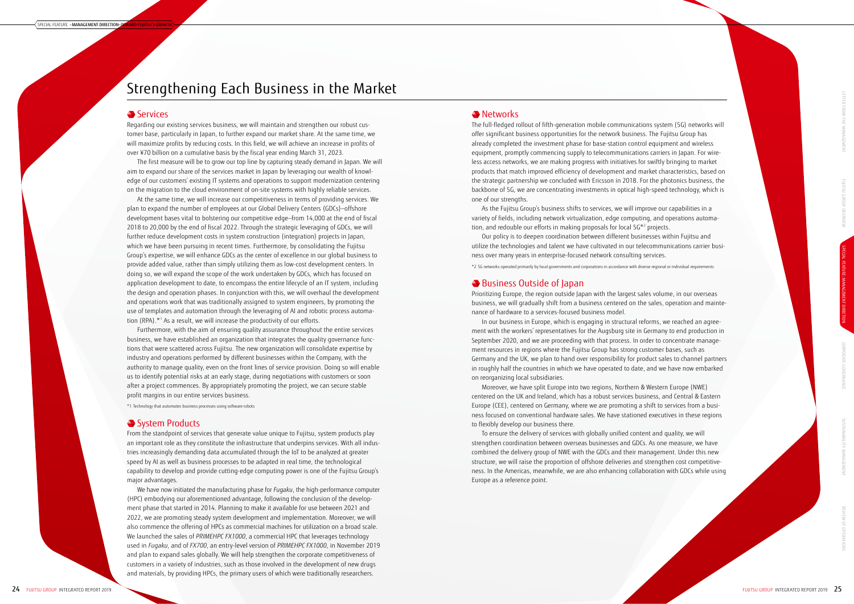Regarding our existing services business, we will maintain and strengthen our robust customer base, particularly in Japan, to further expand our market share. At the same time, we will maximize profits by reducing costs. In this field, we will achieve an increase in profits of over ¥70 billion on a cumulative basis by the fiscal year ending March 31, 2023.

At the same time, we will increase our competitiveness in terms of providing services. We plan to expand the number of employees at our Global Delivery Centers (GDCs)—offshore development bases vital to bolstering our competitive edge—from 14,000 at the end of fiscal 2018 to 20,000 by the end of fiscal 2022. Through the strategic leveraging of GDCs, we will further reduce development costs in system construction (integration) projects in Japan, which we have been pursuing in recent times. Furthermore, by consolidating the Fujitsu Group's expertise, we will enhance GDCs as the center of excellence in our global business to provide added value, rather than simply utilizing them as low-cost development centers. In doing so, we will expand the scope of the work undertaken by GDCs, which has focused on application development to date, to encompass the entire lifecycle of an IT system, including the design and operation phases. In conjunction with this, we will overhaul the development and operations work that was traditionally assigned to system engineers, by promoting the use of templates and automation through the leveraging of AI and robotic process automation (RPA).\*<sup>1</sup> As a result, we will increase the productivity of our efforts.

The first measure will be to grow our top line by capturing steady demand in Japan. We will aim to expand our share of the services market in Japan by leveraging our wealth of knowledge of our customers' existing IT systems and operations to support modernization centering on the migration to the cloud environment of on-site systems with highly reliable services.

Furthermore, with the aim of ensuring quality assurance throughout the entire services business, we have established an organization that integrates the quality governance functions that were scattered across Fujitsu. The new organization will consolidate expertise by industry and operations performed by different businesses within the Company, with the authority to manage quality, even on the front lines of service provision. Doing so will enable us to identify potential risks at an early stage, during negotiations with customers or soon after a project commences. By appropriately promoting the project, we can secure stable profit margins in our entire services business.

\*1 Technology that automates business processes using software robots

## System Products

From the standpoint of services that generate value unique to Fujitsu, system products play an important role as they constitute the infrastructure that underpins services. With all industries increasingly demanding data accumulated through the IoT to be analyzed at greater speed by AI as well as business processes to be adapted in real time, the technological capability to develop and provide cutting-edge computing power is one of the Fujitsu Group's major advantages.

We have now initiated the manufacturing phase for *Fugaku*, the high-performance computer (HPC) embodying our aforementioned advantage, following the conclusion of the development phase that started in 2014. Planning to make it available for use between 2021 and 2022, we are promoting steady system development and implementation. Moreover, we will also commence the offering of HPCs as commercial machines for utilization on a broad scale. We launched the sales of *PRIMEHPC FX1000*, a commercial HPC that leverages technology used in *Fugaku*, and of *FX700*, an entry-level version of *PRIMEHPC FX1000*, in November 2019 and plan to expand sales globally. We will help strengthen the corporate competitiveness of customers in a variety of industries, such as those involved in the development of new drugs and materials, by providing HPCs, the primary users of which were traditionally researchers.

## **Networks**

# Strengthening Each Business in the Market

## **Services**

The full-fledged rollout of fifth-generation mobile communications system (5G) networks will offer significant business opportunities for the network business. The Fujitsu Group has already completed the investment phase for base-station control equipment and wireless equipment, promptly commencing supply to telecommunications carriers in Japan. For wireless access networks, we are making progress with initiatives for swiftly bringing to market products that match improved efficiency of development and market characteristics, based on the strategic partnership we concluded with Ericsson in 2018. For the photonics business, the backbone of 5G, we are concentrating investments in optical high-speed technology, which is one of our strengths.

As the Fujitsu Group's business shifts to services, we will improve our capabilities in a variety of fields, including network virtualization, edge computing, and operations automation, and redouble our efforts in making proposals for local 5G\*2 projects.

Our policy is to deepen coordination between different businesses within Fujitsu and utilize the technologies and talent we have cultivated in our telecommunications carrier business over many years in enterprise-focused network consulting services.

\*2 5G networks operated primarily by local governments and corporations in accordance with diverse regional or individual requirements

## Business Outside of Japan

Prioritizing Europe, the region outside Japan with the largest sales volume, in our overseas business, we will gradually shift from a business centered on the sales, operation and maintenance of hardware to a services-focused business model.

In our business in Europe, which is engaging in structural reforms, we reached an agreement with the workers' representatives for the Augsburg site in Germany to end production in September 2020, and we are proceeding with that process. In order to concentrate management resources in regions where the Fujitsu Group has strong customer bases, such as Germany and the UK, we plan to hand over responsibility for product sales to channel partners in roughly half the countries in which we have operated to date, and we have now embarked on reorganizing local subsidiaries.

Moreover, we have split Europe into two regions, Northern & Western Europe (NWE) centered on the UK and Ireland, which has a robust services business, and Central & Eastern Europe (CEE), centered on Germany, where we are promoting a shift to services from a business focused on conventional hardware sales. We have stationed executives in these regions to flexibly develop our business there.

To ensure the delivery of services with globally unified content and quality, we will strengthen coordination between overseas businesses and GDCs. As one measure, we have combined the delivery group of NWE with the GDCs and their management. Under this new structure, we will raise the proportion of offshore deliveries and strengthen cost competitiveness. In the Americas, meanwhile, we are also enhancing collaboration with GDCs while using Europe as a reference point.

FUJITSU GROUP OVERVIEW LETTER FROM THE MANAGEMENT